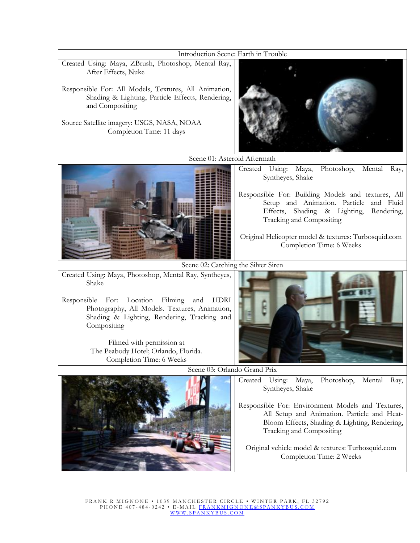Introduction Scene: Earth in Trouble

- Created Using: Maya, ZBrush, Photoshop, Mental Ray, After Effects, Nuke
- Responsible For: All Models, Textures, All Animation, Shading & Lighting, Particle Effects, Rendering, and Compositing
- Source Satellite imagery: USGS, NASA, NOAA Completion Time: 11 days



Scene 01: Asteroid Aftermath



Created Using: Maya, Photoshop, Mental Ray, Syntheyes, Shake

- Responsible For: Building Models and textures, All Setup and Animation. Particle and Fluid Effects, Shading & Lighting, Rendering, Tracking and Compositing
- Original Helicopter model & textures: Turbosquid.com Completion Time: 6 Weeks

Scene 02: Catching the Silver Siren

Created Using: Maya, Photoshop, Mental Ray, Syntheyes, Shake

Responsible For: Location Filming and HDRI Photography, All Models. Textures, Animation, Shading & Lighting, Rendering, Tracking and **Compositing** 

> Filmed with permission at The Peabody Hotel; Orlando, Florida. Completion Time: 6 Weeks



Scene 03: Orlando Grand Prix



Created Using: Maya, Photoshop, Mental Ray, Syntheyes, Shake

Responsible For: Environment Models and Textures, All Setup and Animation. Particle and Heat-Bloom Effects, Shading & Lighting, Rendering, Tracking and Compositing

Original vehicle model & textures: Turbosquid.com Completion Time: 2 Weeks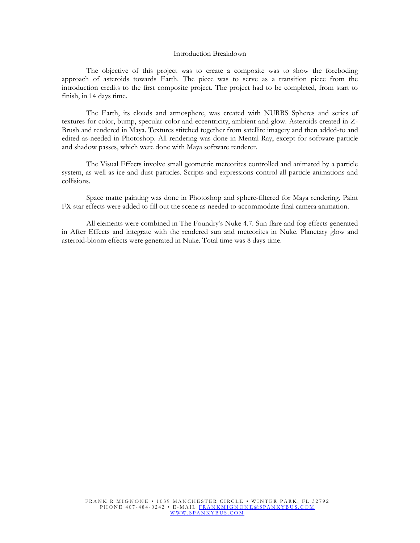## Introduction Breakdown

The objective of this project was to create a composite was to show the foreboding approach of asteroids towards Earth. The piece was to serve as a transition piece from the introduction credits to the first composite project. The project had to be completed, from start to finish, in 14 days time.

The Earth, its clouds and atmosphere, was created with NURBS Spheres and series of textures for color, bump, specular color and eccentricity, ambient and glow. Asteroids created in Z-Brush and rendered in Maya. Textures stitched together from satellite imagery and then added-to and edited as-needed in Photoshop. All rendering was done in Mental Ray, except for software particle and shadow passes, which were done with Maya software renderer.

The Visual Effects involve small geometric meteorites controlled and animated by a particle system, as well as ice and dust particles. Scripts and expressions control all particle animations and collisions.

Space matte painting was done in Photoshop and sphere-filtered for Maya rendering. Paint FX star effects were added to fill out the scene as needed to accommodate final camera animation.

All elements were combined in The Foundry's Nuke 4.7. Sun flare and fog effects generated in After Effects and integrate with the rendered sun and meteorites in Nuke. Planetary glow and asteroid-bloom effects were generated in Nuke. Total time was 8 days time.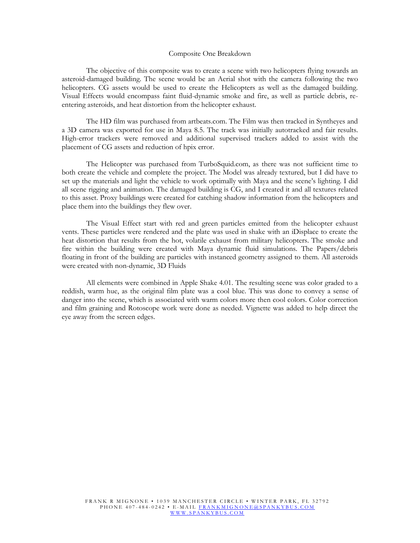## Composite One Breakdown

The objective of this composite was to create a scene with two helicopters flying towards an asteroid-damaged building. The scene would be an Aerial shot with the camera following the two helicopters. CG assets would be used to create the Helicopters as well as the damaged building. Visual Effects would encompass faint fluid-dynamic smoke and fire, as well as particle debris, reentering asteroids, and heat distortion from the helicopter exhaust.

The HD film was purchased from artbeats.com. The Film was then tracked in Syntheyes and a 3D camera was exported for use in Maya 8.5. The track was initially autotracked and fair results. High-error trackers were removed and additional supervised trackers added to assist with the placement of CG assets and reduction of hpix error.

The Helicopter was purchased from TurboSquid.com, as there was not sufficient time to both create the vehicle and complete the project. The Model was already textured, but I did have to set up the materials and light the vehicle to work optimally with Maya and the scene's lighting. I did all scene rigging and animation. The damaged building is CG, and I created it and all textures related to this asset. Proxy buildings were created for catching shadow information from the helicopters and place them into the buildings they flew over.

The Visual Effect start with red and green particles emitted from the helicopter exhaust vents. These particles were rendered and the plate was used in shake with an iDisplace to create the heat distortion that results from the hot, volatile exhaust from military helicopters. The smoke and fire within the building were created with Maya dynamic fluid simulations. The Papers/debris floating in front of the building are particles with instanced geometry assigned to them. All asteroids were created with non-dynamic, 3D Fluids

All elements were combined in Apple Shake 4.01. The resulting scene was color graded to a reddish, warm hue, as the original film plate was a cool blue. This was done to convey a sense of danger into the scene, which is associated with warm colors more then cool colors. Color correction and film graining and Rotoscope work were done as needed. Vignette was added to help direct the eye away from the screen edges.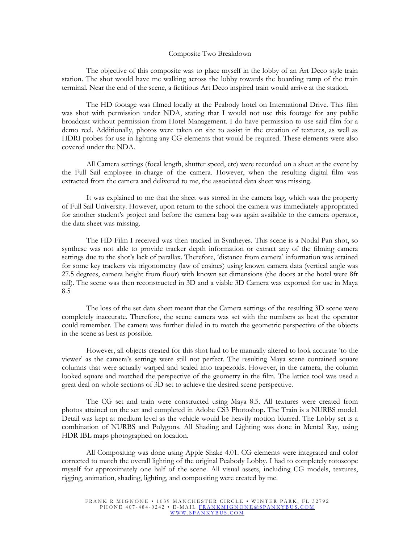## Composite Two Breakdown

The objective of this composite was to place myself in the lobby of an Art Deco style train station. The shot would have me walking across the lobby towards the boarding ramp of the train terminal. Near the end of the scene, a fictitious Art Deco inspired train would arrive at the station.

The HD footage was filmed locally at the Peabody hotel on International Drive. This film was shot with permission under NDA, stating that I would not use this footage for any public broadcast without permission from Hotel Management. I do have permission to use said film for a demo reel. Additionally, photos were taken on site to assist in the creation of textures, as well as HDRI probes for use in lighting any CG elements that would be required. These elements were also covered under the NDA.

All Camera settings (focal length, shutter speed, etc) were recorded on a sheet at the event by the Full Sail employee in-charge of the camera. However, when the resulting digital film was extracted from the camera and delivered to me, the associated data sheet was missing.

It was explained to me that the sheet was stored in the camera bag, which was the property of Full Sail University. However, upon return to the school the camera was immediately appropriated for another student's project and before the camera bag was again available to the camera operator, the data sheet was missing.

The HD Film I received was then tracked in Syntheyes. This scene is a Nodal Pan shot, so synthese was not able to provide tracker depth information or extract any of the filming camera settings due to the shot's lack of parallax. Therefore, 'distance from camera' information was attained for some key trackers via trigonometry (law of cosines) using known camera data (vertical angle was 27.5 degrees, camera height from floor) with known set dimensions (the doors at the hotel were 8ft tall). The scene was then reconstructed in 3D and a viable 3D Camera was exported for use in Maya 8.5

The loss of the set data sheet meant that the Camera settings of the resulting 3D scene were completely inaccurate. Therefore, the scene camera was set with the numbers as best the operator could remember. The camera was further dialed in to match the geometric perspective of the objects in the scene as best as possible.

However, all objects created for this shot had to be manually altered to look accurate 'to the viewer' as the camera's settings were still not perfect. The resulting Maya scene contained square columns that were actually warped and scaled into trapezoids. However, in the camera, the column looked square and matched the perspective of the geometry in the film. The lattice tool was used a great deal on whole sections of 3D set to achieve the desired scene perspective.

The CG set and train were constructed using Maya 8.5. All textures were created from photos attained on the set and completed in Adobe CS3 Photoshop. The Train is a NURBS model. Detail was kept at medium level as the vehicle would be heavily motion blurred. The Lobby set is a combination of NURBS and Polygons. All Shading and Lighting was done in Mental Ray, using HDR IBL maps photographed on location.

All Compositing was done using Apple Shake 4.01. CG elements were integrated and color corrected to match the overall lighting of the original Peabody Lobby. I had to completely rotoscope myself for approximately one half of the scene. All visual assets, including CG models, textures, rigging, animation, shading, lighting, and compositing were created by me.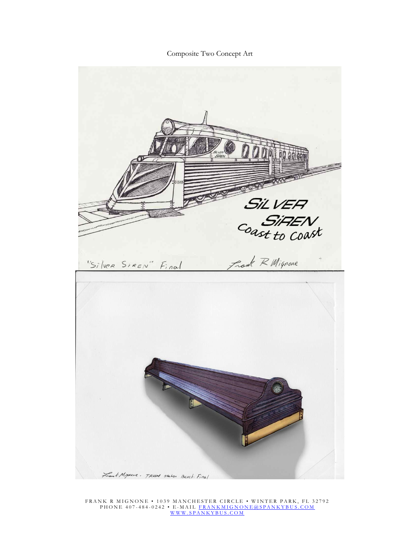Composite Two Concept Art



FRANK R MIGNONE • 1039 MANCHESTER CIRCLE • WINTER PARK, FL 32792 P H O N E 407-484-0242 • E-MAIL <u>FRANKMIG NONE @SPANKYBUS.COM</u> [W W W . S P A N K Y B U S . C O M](www.spankybus.com)